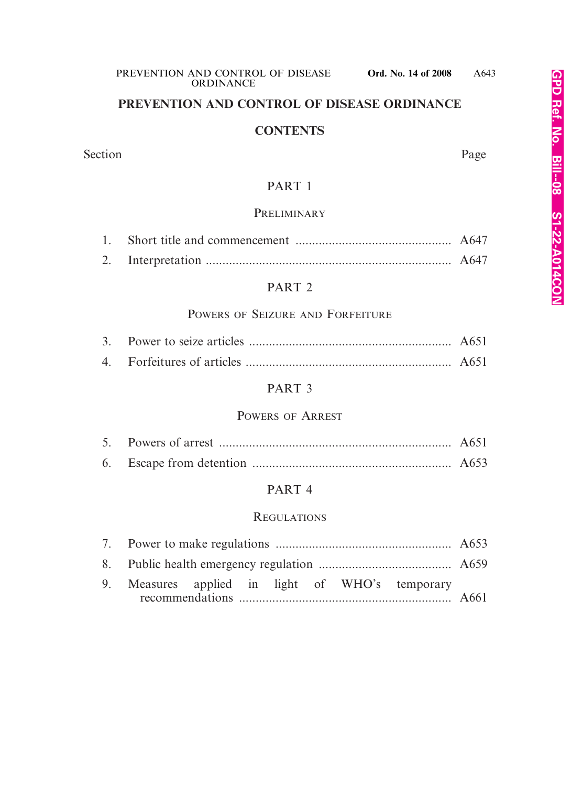## **PREVENTION AND CONTROL OF DISEASE ORDINANCE**

#### **CONTENTS**

#### Section Page

## PART 1

#### **PRELIMINARY**

#### PART 2

## POWERS OF SEIZURE AND FORFEITURE

#### PART 3

#### POWERS OF ARREST

#### PART 4

#### REGULATIONS

|  |  |  |  |  |  | 9. Measures applied in light of WHO's temporary |  |
|--|--|--|--|--|--|-------------------------------------------------|--|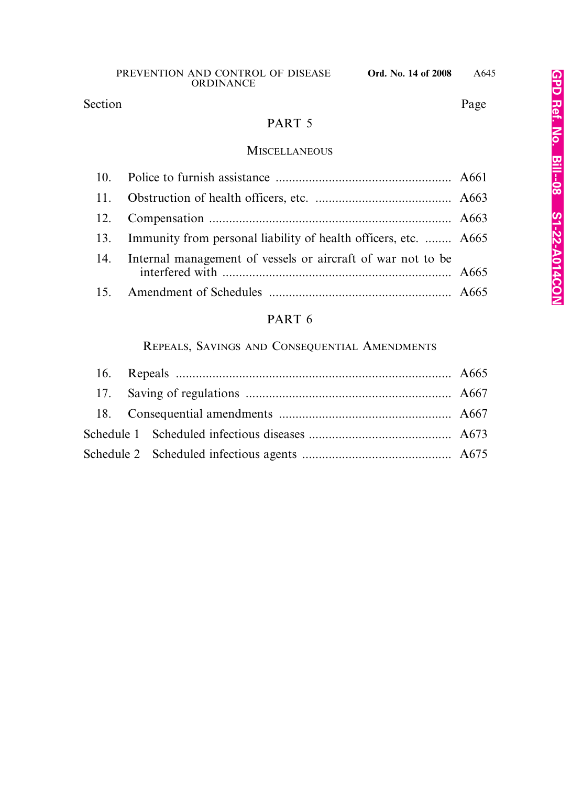# Section Page

## PART 5

## MISCELLANEOUS

| 13. Immunity from personal liability of health officers, etc.  A665 |  |
|---------------------------------------------------------------------|--|
| 14. Internal management of vessels or aircraft of war not to be     |  |
|                                                                     |  |

## PART 6

## REPEALS, SAVINGS AND CONSEQUENTIAL AMENDMENTS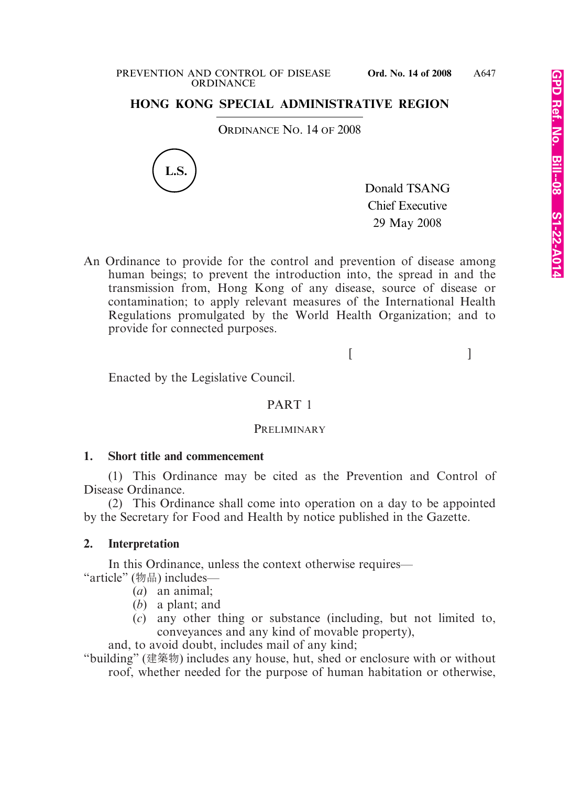#### PREVENTION AND CONTROL OF DISEASE **Ord. No. 14 of 2008 ORDINANCE**

## **HONG KONG SPECIAL ADMINISTRATIVE REGION**

ORDINANCE NO. 14 OF 2008



Donald TSANG Chief Executive 29 May 2008

An Ordinance to provide for the control and prevention of disease among human beings; to prevent the introduction into, the spread in and the transmission from, Hong Kong of any disease, source of disease or contamination; to apply relevant measures of the International Health Regulations promulgated by the World Health Organization; and to provide for connected purposes.

 $[$   $]$ 

Enacted by the Legislative Council.

#### PART 1

#### **PRELIMINARY**

#### **1. Short title and commencement**

(1) This Ordinance may be cited as the Prevention and Control of Disease Ordinance.

(2) This Ordinance shall come into operation on a day to be appointed by the Secretary for Food and Health by notice published in the Gazette.

#### **2. Interpretation**

In this Ordinance, unless the context otherwise requires— "article" (物品) includes—

- (*a*) an animal;
- (*b*) a plant; and
- (*c*) any other thing or substance (including, but not limited to, conveyances and any kind of movable property),

and, to avoid doubt, includes mail of any kind;

"building" (建築物) includes any house, hut, shed or enclosure with or without roof, whether needed for the purpose of human habitation or otherwise,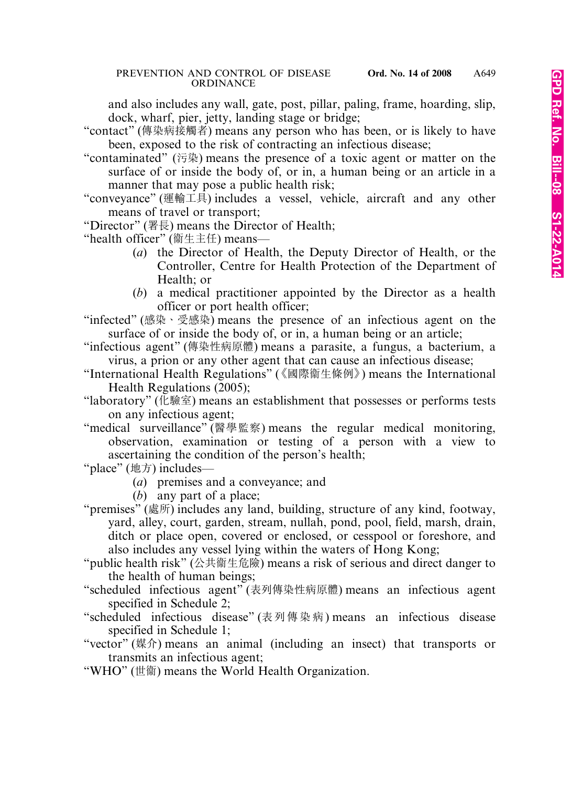and also includes any wall, gate, post, pillar, paling, frame, hoarding, slip, dock, wharf, pier, jetty, landing stage or bridge;

- "contact" (傳染病接觸者) means any person who has been, or is likely to have been, exposed to the risk of contracting an infectious disease;
- "contaminated" (污染) means the presence of a toxic agent or matter on the surface of or inside the body of, or in, a human being or an article in a manner that may pose a public health risk;
- "conveyance" (運輸工具) includes a vessel, vehicle, aircraft and any other means of travel or transport;
- "Director" (署長) means the Director of Health;
- "health officer" (衛生主任) means—
	- (*a*) the Director of Health, the Deputy Director of Health, or the Controller, Centre for Health Protection of the Department of Health; or
	- (*b*) a medical practitioner appointed by the Director as a health officer or port health officer;

"infected" (感染、受感染) means the presence of an infectious agent on the surface of or inside the body of, or in, a human being or an article;

- "infectious agent" (傳染性病原體) means a parasite, a fungus, a bacterium, a virus, a prion or any other agent that can cause an infectious disease;
- "International Health Regulations" (《國際衞生條例》) means the International Health Regulations (2005);
- "laboratory" (化驗室) means an establishment that possesses or performs tests on any infectious agent;
- "medical surveillance" (醫學監察) means the regular medical monitoring, observation, examination or testing of a person with a view to ascertaining the condition of the person's health;
- "place" (地方) includes—
	- (*a*) premises and a conveyance; and
	- (*b*) any part of a place;
- "premises" (處所) includes any land, building, structure of any kind, footway, yard, alley, court, garden, stream, nullah, pond, pool, field, marsh, drain, ditch or place open, covered or enclosed, or cesspool or foreshore, and also includes any vessel lying within the waters of Hong Kong;
- "public health risk" (公共宪生危險) means a risk of serious and direct danger to the health of human beings;
- "scheduled infectious agent" (表列傳染性病原體) means an infectious agent specified in Schedule 2;
- "scheduled infectious disease" (表列傳染病) means an infectious disease specified in Schedule 1;
- "vector" (媒介) means an animal (including an insect) that transports or transmits an infectious agent;
- "WHO" (世衛) means the World Health Organization.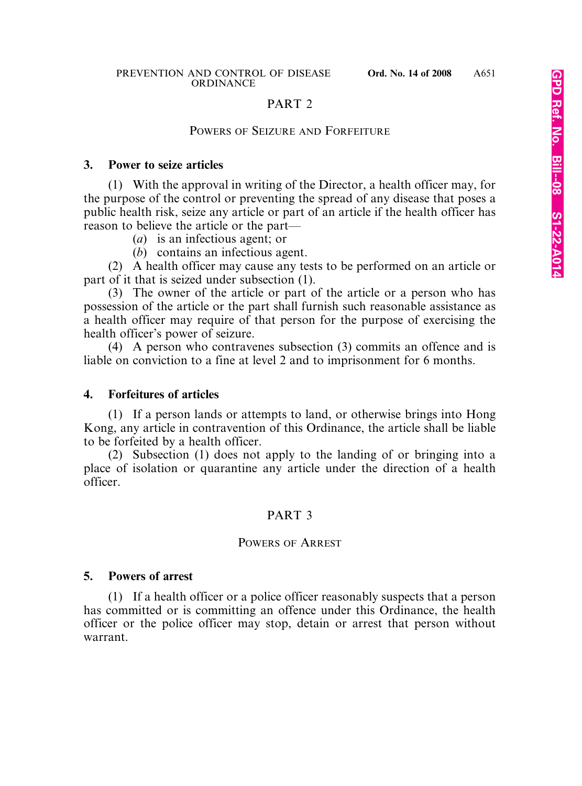### PART 2

#### POWERS OF SEIZURE AND FORFEITURE

#### **3. Power to seize articles**

(1) With the approval in writing of the Director, a health officer may, for the purpose of the control or preventing the spread of any disease that poses a public health risk, seize any article or part of an article if the health officer has reason to believe the article or the part—

- (*a*) is an infectious agent; or
- (*b*) contains an infectious agent.

(2) A health officer may cause any tests to be performed on an article or part of it that is seized under subsection (1).

(3) The owner of the article or part of the article or a person who has possession of the article or the part shall furnish such reasonable assistance as a health officer may require of that person for the purpose of exercising the health officer's power of seizure.

(4) A person who contravenes subsection (3) commits an offence and is liable on conviction to a fine at level 2 and to imprisonment for 6 months.

#### **4. Forfeitures of articles**

(1) If a person lands or attempts to land, or otherwise brings into Hong Kong, any article in contravention of this Ordinance, the article shall be liable to be forfeited by a health officer.

(2) Subsection (1) does not apply to the landing of or bringing into a place of isolation or quarantine any article under the direction of a health officer.

#### PART 3

#### POWERS OF ARREST

#### **5. Powers of arrest**

(1) If a health officer or a police officer reasonably suspects that a person has committed or is committing an offence under this Ordinance, the health officer or the police officer may stop, detain or arrest that person without warrant.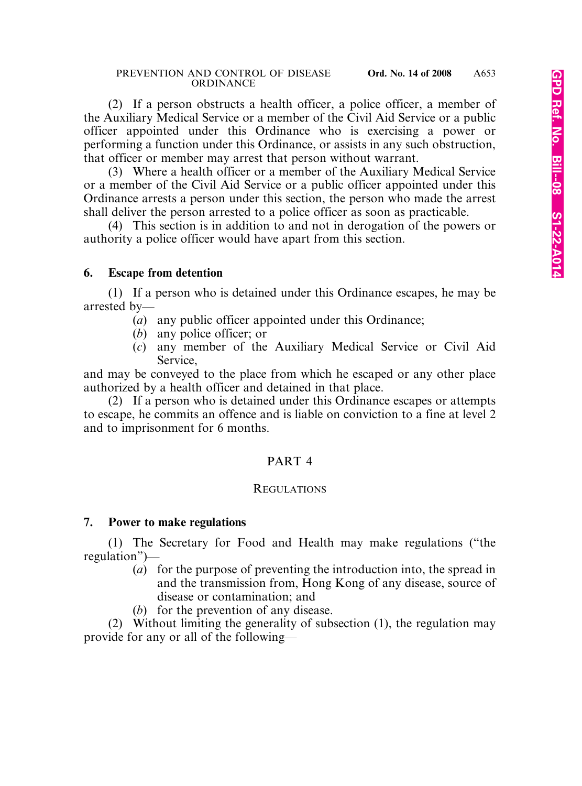(2) If a person obstructs a health officer, a police officer, a member of the Auxiliary Medical Service or a member of the Civil Aid Service or a public officer appointed under this Ordinance who is exercising a power or performing a function under this Ordinance, or assists in any such obstruction, that officer or member may arrest that person without warrant.

(3) Where a health officer or a member of the Auxiliary Medical Service or a member of the Civil Aid Service or a public officer appointed under this Ordinance arrests a person under this section, the person who made the arrest shall deliver the person arrested to a police officer as soon as practicable.

(4) This section is in addition to and not in derogation of the powers or authority a police officer would have apart from this section.

#### **6. Escape from detention**

(1) If a person who is detained under this Ordinance escapes, he may be arrested by—

- (*a*) any public officer appointed under this Ordinance;
- (*b*) any police officer; or
- (*c*) any member of the Auxiliary Medical Service or Civil Aid Service,

and may be conveyed to the place from which he escaped or any other place authorized by a health officer and detained in that place.

(2) If a person who is detained under this Ordinance escapes or attempts to escape, he commits an offence and is liable on conviction to a fine at level 2 and to imprisonment for 6 months.

## PART 4

#### **REGULATIONS**

#### **7. Power to make regulations**

(1) The Secretary for Food and Health may make regulations ("the regulation")—

- (*a*) for the purpose of preventing the introduction into, the spread in and the transmission from, Hong Kong of any disease, source of disease or contamination; and
- (*b*) for the prevention of any disease.

(2) Without limiting the generality of subsection (1), the regulation may provide for any or all of the following—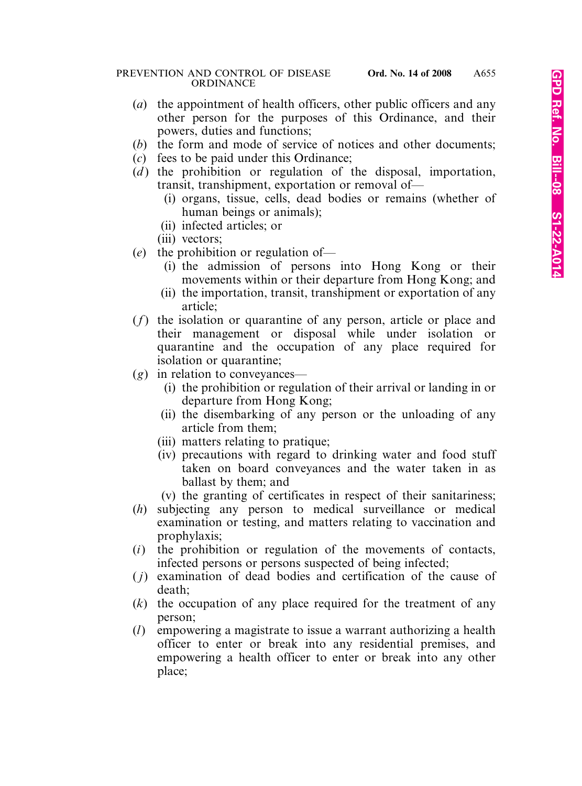- (*a*) the appointment of health officers, other public officers and any other person for the purposes of this Ordinance, and their powers, duties and functions;
- (*b*) the form and mode of service of notices and other documents;
- (*c*) fees to be paid under this Ordinance;
- $(d)$  the prohibition or regulation of the disposal, importation, transit, transhipment, exportation or removal of—
	- (i) organs, tissue, cells, dead bodies or remains (whether of human beings or animals);
	- (ii) infected articles; or
	- (iii) vectors;
- (*e*) the prohibition or regulation of—
	- (i) the admission of persons into Hong Kong or their movements within or their departure from Hong Kong; and
	- (ii) the importation, transit, transhipment or exportation of any article;
- (*f*) the isolation or quarantine of any person, article or place and their management or disposal while under isolation or quarantine and the occupation of any place required for isolation or quarantine;
- (*g*) in relation to conveyances—
	- (i) the prohibition or regulation of their arrival or landing in or departure from Hong Kong;
	- (ii) the disembarking of any person or the unloading of any article from them;
	- (iii) matters relating to pratique;
	- (iv) precautions with regard to drinking water and food stuff taken on board conveyances and the water taken in as ballast by them; and
	- (v) the granting of certificates in respect of their sanitariness;
- (*h*) subjecting any person to medical surveillance or medical examination or testing, and matters relating to vaccination and prophylaxis;
- (*i*) the prohibition or regulation of the movements of contacts, infected persons or persons suspected of being infected;
- ( *j*) examination of dead bodies and certification of the cause of death;
- (*k*) the occupation of any place required for the treatment of any person;
- (*l*) empowering a magistrate to issue a warrant authorizing a health officer to enter or break into any residential premises, and empowering a health officer to enter or break into any other place;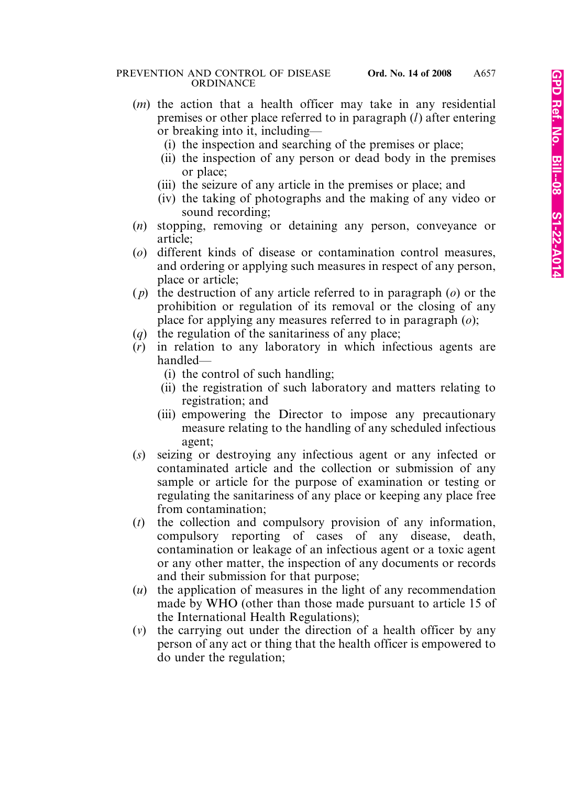- (*m*) the action that a health officer may take in any residential premises or other place referred to in paragraph (*l*) after entering or breaking into it, including—
	- (i) the inspection and searching of the premises or place;
	- (ii) the inspection of any person or dead body in the premises or place;
	- (iii) the seizure of any article in the premises or place; and
	- (iv) the taking of photographs and the making of any video or sound recording;
- (*n*) stopping, removing or detaining any person, conveyance or article;
- (*o*) different kinds of disease or contamination control measures, and ordering or applying such measures in respect of any person, place or article;
- ( *p*) the destruction of any article referred to in paragraph (*o*) or the prohibition or regulation of its removal or the closing of any place for applying any measures referred to in paragraph (*o*);
- (*q*) the regulation of the sanitariness of any place;
- (*r*) in relation to any laboratory in which infectious agents are handled—
	- (i) the control of such handling;
	- (ii) the registration of such laboratory and matters relating to registration; and
	- (iii) empowering the Director to impose any precautionary measure relating to the handling of any scheduled infectious agent;
- (*s*) seizing or destroying any infectious agent or any infected or contaminated article and the collection or submission of any sample or article for the purpose of examination or testing or regulating the sanitariness of any place or keeping any place free from contamination;
- (*t*) the collection and compulsory provision of any information, compulsory reporting of cases of any disease, death, contamination or leakage of an infectious agent or a toxic agent or any other matter, the inspection of any documents or records and their submission for that purpose;
- (*u*) the application of measures in the light of any recommendation made by WHO (other than those made pursuant to article 15 of the International Health Regulations);
- (*v*) the carrying out under the direction of a health officer by any person of any act or thing that the health officer is empowered to do under the regulation;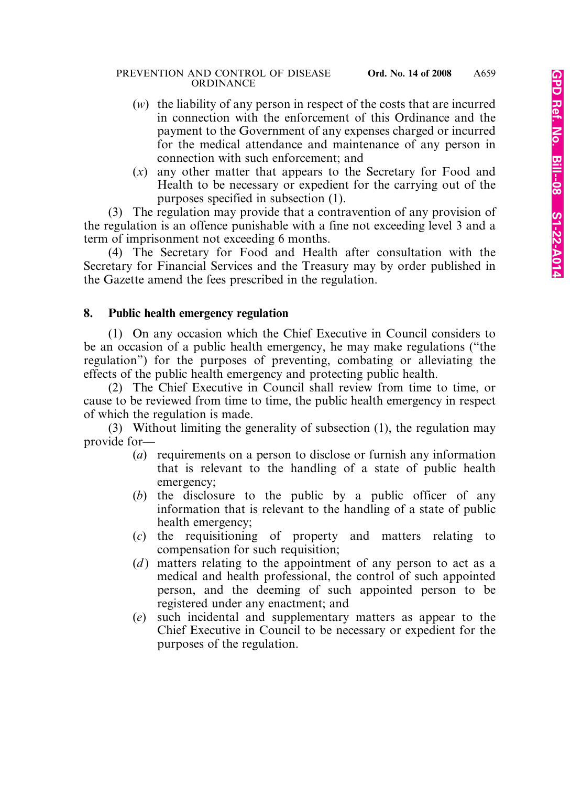- (*w*) the liability of any person in respect of the costs that are incurred in connection with the enforcement of this Ordinance and the payment to the Government of any expenses charged or incurred for the medical attendance and maintenance of any person in connection with such enforcement; and
- (*x*) any other matter that appears to the Secretary for Food and Health to be necessary or expedient for the carrying out of the purposes specified in subsection (1).

(3) The regulation may provide that a contravention of any provision of the regulation is an offence punishable with a fine not exceeding level 3 and a term of imprisonment not exceeding 6 months.

(4) The Secretary for Food and Health after consultation with the Secretary for Financial Services and the Treasury may by order published in the Gazette amend the fees prescribed in the regulation.

## **8. Public health emergency regulation**

(1) On any occasion which the Chief Executive in Council considers to be an occasion of a public health emergency, he may make regulations ("the regulation") for the purposes of preventing, combating or alleviating the effects of the public health emergency and protecting public health.

(2) The Chief Executive in Council shall review from time to time, or cause to be reviewed from time to time, the public health emergency in respect of which the regulation is made.

(3) Without limiting the generality of subsection (1), the regulation may provide for—

- (*a*) requirements on a person to disclose or furnish any information that is relevant to the handling of a state of public health emergency;
- (*b*) the disclosure to the public by a public officer of any information that is relevant to the handling of a state of public health emergency;
- (*c*) the requisitioning of property and matters relating to compensation for such requisition;
- (*d*) matters relating to the appointment of any person to act as a medical and health professional, the control of such appointed person, and the deeming of such appointed person to be registered under any enactment; and
- (*e*) such incidental and supplementary matters as appear to the Chief Executive in Council to be necessary or expedient for the purposes of the regulation.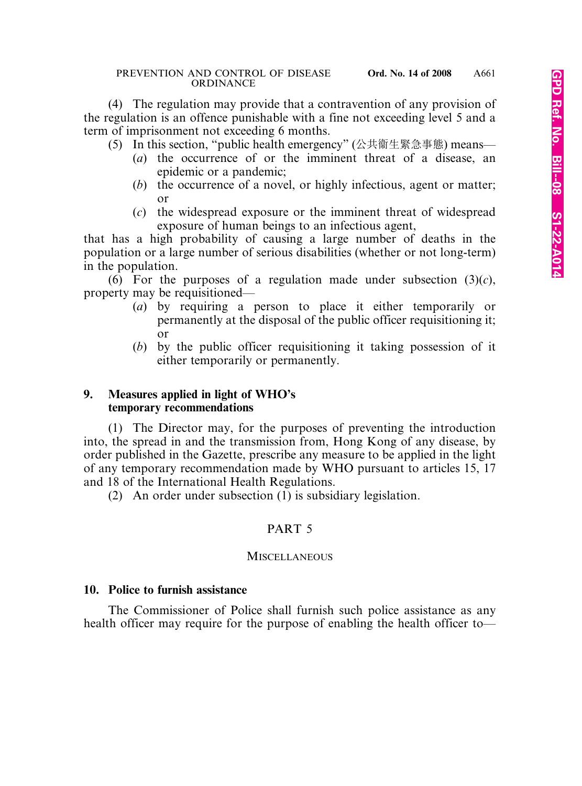(4) The regulation may provide that a contravention of any provision of the regulation is an offence punishable with a fine not exceeding level 5 and a term of imprisonment not exceeding 6 months.

- (5) In this section, "public health emergency" (公共宪生緊急事態) means—
	- (*a*) the occurrence of or the imminent threat of a disease, an epidemic or a pandemic;
	- (*b*) the occurrence of a novel, or highly infectious, agent or matter;  $\alpha r$
	- (*c*) the widespread exposure or the imminent threat of widespread exposure of human beings to an infectious agent,

that has a high probability of causing a large number of deaths in the population or a large number of serious disabilities (whether or not long-term) in the population.

(6) For the purposes of a regulation made under subsection  $(3)(c)$ , property may be requisitioned—

- (*a*) by requiring a person to place it either temporarily or permanently at the disposal of the public officer requisitioning it; or
- (*b*) by the public officer requisitioning it taking possession of it either temporarily or permanently.

#### **9. Measures applied in light of WHO's temporary recommendations**

(1) The Director may, for the purposes of preventing the introduction into, the spread in and the transmission from, Hong Kong of any disease, by order published in the Gazette, prescribe any measure to be applied in the light of any temporary recommendation made by WHO pursuant to articles 15, 17 and 18 of the International Health Regulations.

(2) An order under subsection (1) is subsidiary legislation.

## PART 5

#### **MISCELLANEOUS**

#### **10. Police to furnish assistance**

The Commissioner of Police shall furnish such police assistance as any health officer may require for the purpose of enabling the health officer to—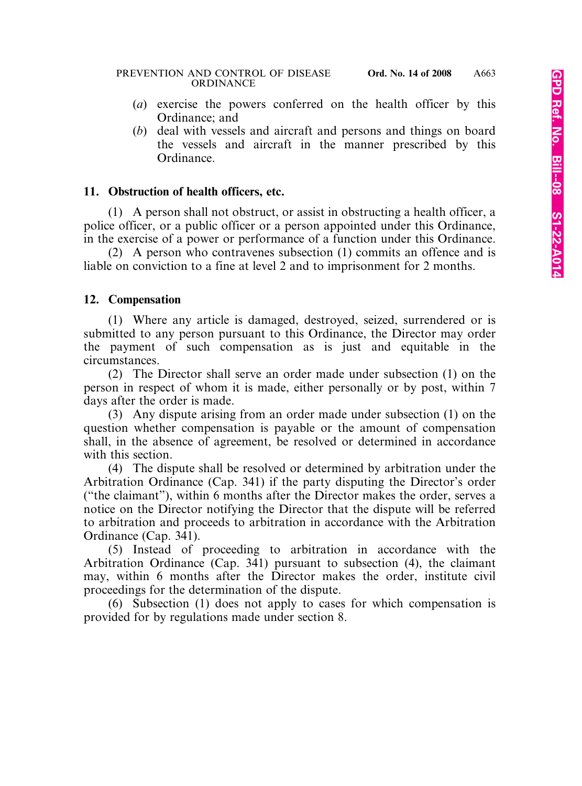- (*a*) exercise the powers conferred on the health officer by this Ordinance; and
- (*b*) deal with vessels and aircraft and persons and things on board the vessels and aircraft in the manner prescribed by this Ordinance.

### **11. Obstruction of health officers, etc.**

(1) A person shall not obstruct, or assist in obstructing a health officer, a police officer, or a public officer or a person appointed under this Ordinance, in the exercise of a power or performance of a function under this Ordinance.

(2) A person who contravenes subsection (1) commits an offence and is liable on conviction to a fine at level 2 and to imprisonment for 2 months.

#### **12. Compensation**

(1) Where any article is damaged, destroyed, seized, surrendered or is submitted to any person pursuant to this Ordinance, the Director may order the payment of such compensation as is just and equitable in the circumstances.

(2) The Director shall serve an order made under subsection (1) on the person in respect of whom it is made, either personally or by post, within 7 days after the order is made.

(3) Any dispute arising from an order made under subsection (1) on the question whether compensation is payable or the amount of compensation shall, in the absence of agreement, be resolved or determined in accordance with this section.

(4) The dispute shall be resolved or determined by arbitration under the Arbitration Ordinance (Cap. 341) if the party disputing the Director's order ("the claimant"), within 6 months after the Director makes the order, serves a notice on the Director notifying the Director that the dispute will be referred to arbitration and proceeds to arbitration in accordance with the Arbitration Ordinance (Cap. 341).

(5) Instead of proceeding to arbitration in accordance with the Arbitration Ordinance (Cap. 341) pursuant to subsection (4), the claimant may, within 6 months after the Director makes the order, institute civil proceedings for the determination of the dispute.

(6) Subsection (1) does not apply to cases for which compensation is provided for by regulations made under section 8.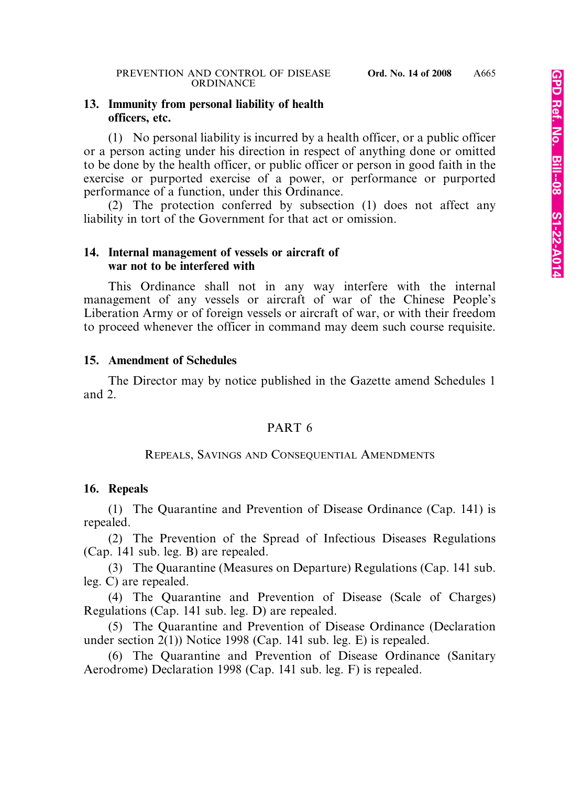#### **13. Immunity from personal liability of health officers, etc.**

(1) No personal liability is incurred by a health officer, or a public officer or a person acting under his direction in respect of anything done or omitted to be done by the health officer, or public officer or person in good faith in the exercise or purported exercise of a power, or performance or purported performance of a function, under this Ordinance.

(2) The protection conferred by subsection (1) does not affect any liability in tort of the Government for that act or omission.

#### **14. Internal management of vessels or aircraft of war not to be interfered with**

This Ordinance shall not in any way interfere with the internal management of any vessels or aircraft of war of the Chinese People's Liberation Army or of foreign vessels or aircraft of war, or with their freedom to proceed whenever the officer in command may deem such course requisite.

#### **15. Amendment of Schedules**

The Director may by notice published in the Gazette amend Schedules 1 and 2.

#### PART 6

#### REPEALS, SAVINGS AND CONSEQUENTIAL AMENDMENTS

#### **16. Repeals**

(1) The Quarantine and Prevention of Disease Ordinance (Cap. 141) is repealed.

(2) The Prevention of the Spread of Infectious Diseases Regulations (Cap. 141 sub. leg. B) are repealed.

(3) The Quarantine (Measures on Departure) Regulations (Cap. 141 sub. leg. C) are repealed.

(4) The Quarantine and Prevention of Disease (Scale of Charges) Regulations (Cap. 141 sub. leg. D) are repealed.

(5) The Quarantine and Prevention of Disease Ordinance (Declaration under section 2(1)) Notice 1998 (Cap. 141 sub. leg. E) is repealed.

(6) The Quarantine and Prevention of Disease Ordinance (Sanitary Aerodrome) Declaration 1998 (Cap. 141 sub. leg. F) is repealed.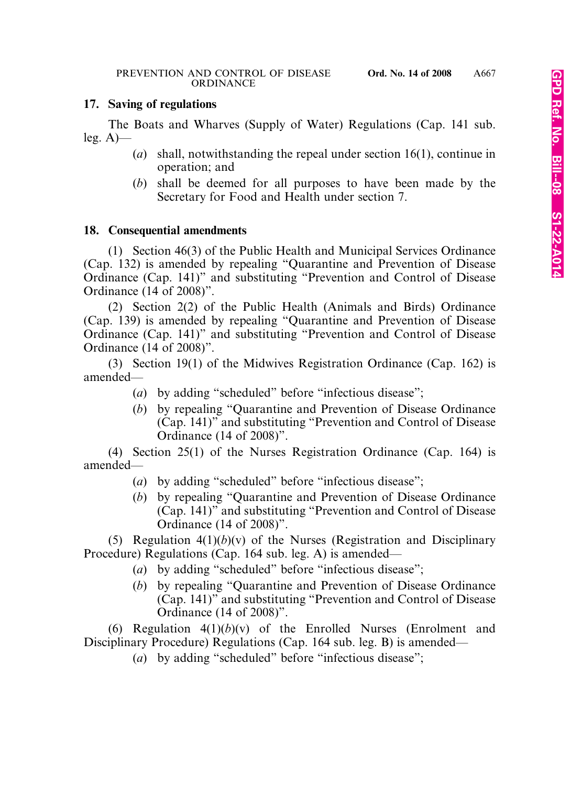### **17. Saving of regulations**

The Boats and Wharves (Supply of Water) Regulations (Cap. 141 sub. leg. A)—

- (*a*) shall, notwithstanding the repeal under section 16(1), continue in operation; and
- (*b*) shall be deemed for all purposes to have been made by the Secretary for Food and Health under section 7.

## **18. Consequential amendments**

(1) Section 46(3) of the Public Health and Municipal Services Ordinance (Cap. 132) is amended by repealing "Quarantine and Prevention of Disease Ordinance (Cap. 141)" and substituting "Prevention and Control of Disease Ordinance (14 of 2008)".

(2) Section 2(2) of the Public Health (Animals and Birds) Ordinance (Cap. 139) is amended by repealing "Quarantine and Prevention of Disease Ordinance (Cap. 141)" and substituting "Prevention and Control of Disease Ordinance (14 of 2008)".

(3) Section 19(1) of the Midwives Registration Ordinance (Cap. 162) is amended—

- (*a*) by adding "scheduled" before "infectious disease";
- (*b*) by repealing "Quarantine and Prevention of Disease Ordinance (Cap. 141)" and substituting "Prevention and Control of Disease Ordinance (14 of 2008)".

(4) Section 25(1) of the Nurses Registration Ordinance (Cap. 164) is amended—

- (*a*) by adding "scheduled" before "infectious disease";
- (*b*) by repealing "Quarantine and Prevention of Disease Ordinance (Cap. 141)" and substituting "Prevention and Control of Disease Ordinance (14 of 2008)".

(5) Regulation  $4(1)(b)(v)$  of the Nurses (Registration and Disciplinary Procedure) Regulations (Cap. 164 sub. leg. A) is amended—

- (*a*) by adding "scheduled" before "infectious disease";
- (*b*) by repealing "Quarantine and Prevention of Disease Ordinance (Cap. 141)" and substituting "Prevention and Control of Disease Ordinance (14 of 2008)".

(6) Regulation  $4(1)(b)(v)$  of the Enrolled Nurses (Enrolment and Disciplinary Procedure) Regulations (Cap. 164 sub. leg. B) is amended—

(*a*) by adding "scheduled" before "infectious disease";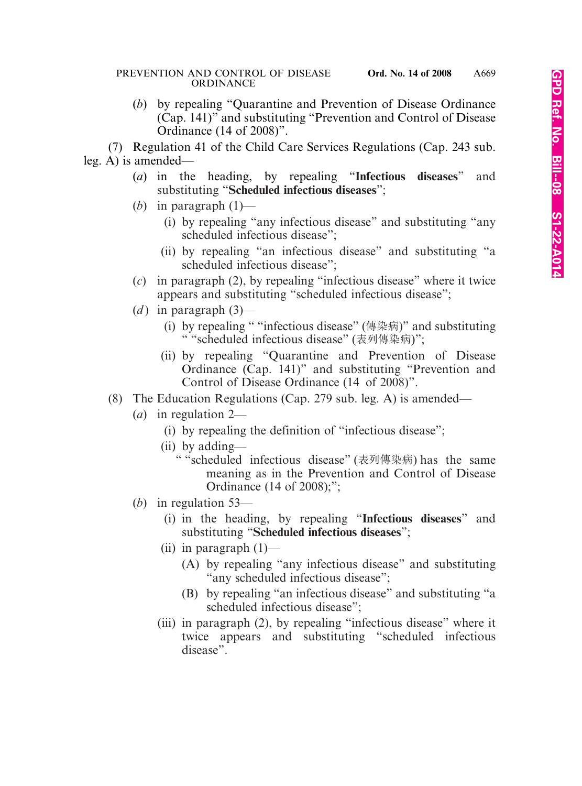(*b*) by repealing "Quarantine and Prevention of Disease Ordinance (Cap. 141)" and substituting "Prevention and Control of Disease Ordinance (14 of 2008)".

(7) Regulation 41 of the Child Care Services Regulations (Cap. 243 sub. leg. A) is amended—

- (*a*) in the heading, by repealing "**Infectious diseases**" and substituting "**Scheduled infectious diseases**";
- (*b*) in paragraph (1)—
	- (i) by repealing "any infectious disease" and substituting "any scheduled infectious disease";
	- (ii) by repealing "an infectious disease" and substituting "a scheduled infectious disease";
- (*c*) in paragraph (2), by repealing "infectious disease" where it twice appears and substituting "scheduled infectious disease";
- (*d*) in paragraph  $(3)$ 
	- (i) by repealing " "infectious disease" (傳染病)" and substituting " "scheduled infectious disease" (表列傳染病)";
	- (ii) by repealing "Quarantine and Prevention of Disease Ordinance (Cap. 141)" and substituting "Prevention and Control of Disease Ordinance (14 of 2008)".
- (8) The Education Regulations (Cap. 279 sub. leg. A) is amended—
	- (*a*) in regulation 2—
		- (i) by repealing the definition of "infectious disease";
		- (ii) by adding—
			- " "scheduled infectious disease" (表列傳染病) has the same meaning as in the Prevention and Control of Disease Ordinance (14 of 2008);";
	- (*b*) in regulation 53—
		- (i) in the heading, by repealing "**Infectious diseases**" and substituting "**Scheduled infectious diseases**";
		- (ii) in paragraph  $(1)$ 
			- (A) by repealing "any infectious disease" and substituting "any scheduled infectious disease";
			- (B) by repealing "an infectious disease" and substituting "a scheduled infectious disease";
		- (iii) in paragraph (2), by repealing "infectious disease" where it twice appears and substituting "scheduled infectious disease".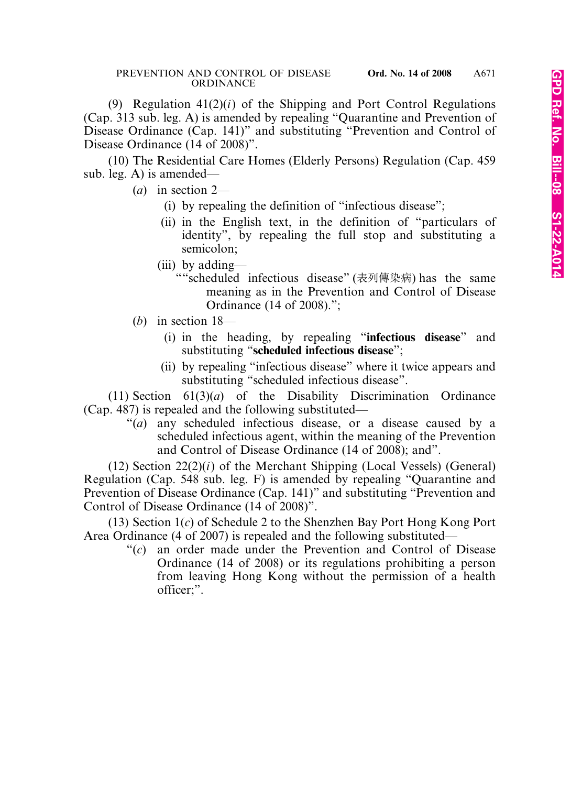(9) Regulation 41(2)(*i*) of the Shipping and Port Control Regulations (Cap. 313 sub. leg. A) is amended by repealing "Quarantine and Prevention of Disease Ordinance (Cap. 141)" and substituting "Prevention and Control of Disease Ordinance (14 of 2008)".

(10) The Residential Care Homes (Elderly Persons) Regulation (Cap. 459 sub. leg. A) is amended—

(*a*) in section 2—

- (i) by repealing the definition of "infectious disease";
- (ii) in the English text, in the definition of "particulars of identity", by repealing the full stop and substituting a semicolon;
- (iii) by adding—
	- ""scheduled infectious disease" (表列傳染病) has the same meaning as in the Prevention and Control of Disease Ordinance (14 of 2008).";
- (*b*) in section 18—
	- (i) in the heading, by repealing "**infectious disease**" and substituting "**scheduled infectious disease**";
	- (ii) by repealing "infectious disease" where it twice appears and substituting "scheduled infectious disease".

(11) Section 61(3)(*a*) of the Disability Discrimination Ordinance (Cap. 487) is repealed and the following substituted—

"(*a*) any scheduled infectious disease, or a disease caused by a scheduled infectious agent, within the meaning of the Prevention and Control of Disease Ordinance (14 of 2008); and".

(12) Section 22(2)(*i*) of the Merchant Shipping (Local Vessels) (General) Regulation (Cap. 548 sub. leg. F) is amended by repealing "Quarantine and Prevention of Disease Ordinance (Cap. 141)" and substituting "Prevention and Control of Disease Ordinance (14 of 2008)".

(13) Section 1(*c*) of Schedule 2 to the Shenzhen Bay Port Hong Kong Port Area Ordinance (4 of 2007) is repealed and the following substituted—

> "(*c*) an order made under the Prevention and Control of Disease Ordinance (14 of 2008) or its regulations prohibiting a person from leaving Hong Kong without the permission of a health officer;".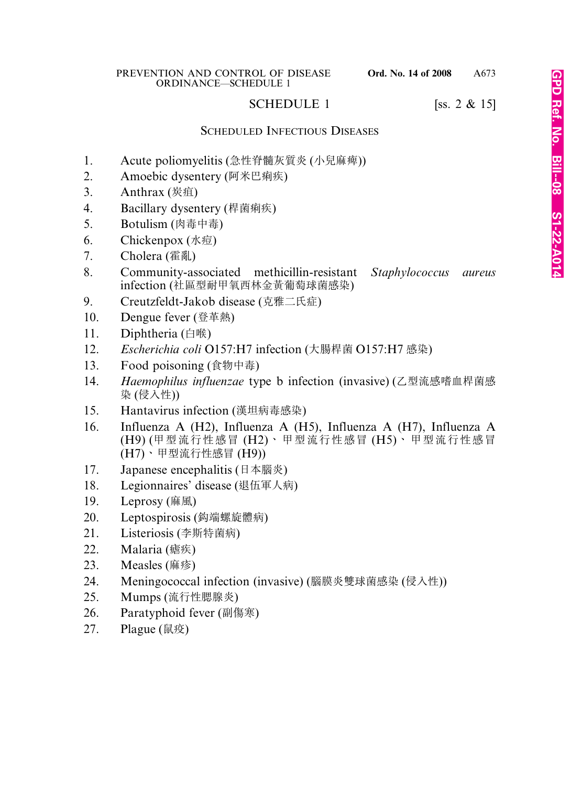## SCHEDULE 1 [ss.  $2 \& 15$ ]

### SCHEDULED INFECTIOUS DISEASES

- 1. Acute poliomyelitis (急性脊髓灰質炎 (小兒麻痺))
- 2. Amoebic dysentery (阿米巴痢疾)
- 3. Anthrax (炭疽)
- 4. Bacillary dysentery (桿菌痢疾)
- 5. Botulism (肉毒中毒)
- 6. Chickenpox (水痘)
- 7. Cholera (霍亂)
- 8. Community-associated methicillin-resistant *Staphylococcus aureus* infection (社區型耐甲氧西林金黃葡萄球菌感染)
- 9. Creutzfeldt-Jakob disease (克雅二氏症)
- 10. Dengue fever (登革熱)
- 11. Diphtheria (白喉)
- 12. *Escherichia coli* O157:H7 infection (大腸桿菌 O157:H7 感染)
- 13. Food poisoning (食物中毒)
- 14. *Haemophilus influenzae* type b infection (invasive) (乙型流感嗜血桿菌感 染 (侵入性))
- 15. Hantavirus infection (漢坦病毒感染)
- 16. Influenza A (H2), Influenza A (H5), Influenza A (H7), Influenza A (H9) (甲型流行性感冒 (H2)、甲型流行性感冒 (H5)、甲型流行性感冒 (H7)、甲型流行性感冒 (H9))
- 17. Japanese encephalitis (日本腦炎)
- 18. Legionnaires' disease (退伍軍人病)
- 19. Leprosy (麻風)
- 20. Leptospirosis (漖端螺旋體病)
- 21. Listeriosis (李斯特菌病)
- 22. Malaria (瘧疾)
- 23. Measles (麻疹)
- 24. Meningococcal infection (invasive) (腦膜炎雙球菌感染 (侵入性))
- 25. Mumps (流行性腮腺炎)
- 26. Paratyphoid fever (副傷寒)
- 27. Plague (鼠疫)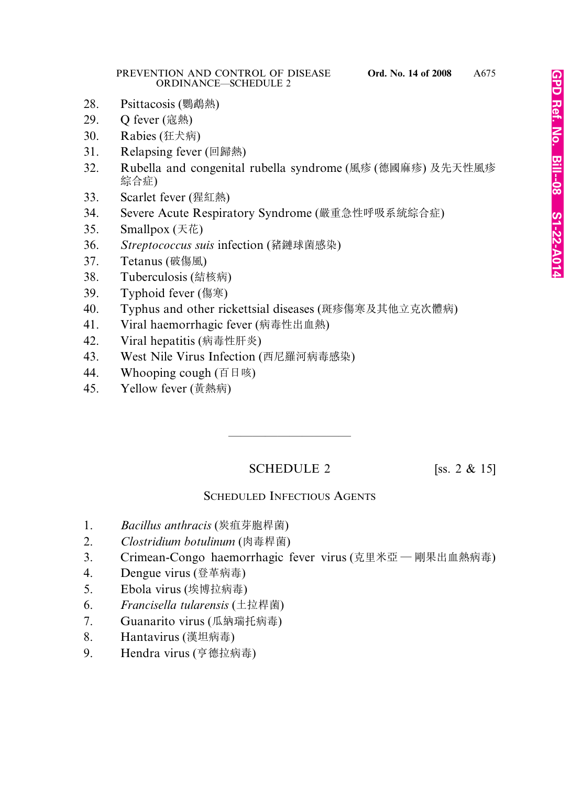- 28. Psittacosis (鸚鵡熱)
- 29. Q fever (寇熱)
- 30. Rabies (狂犬病)
- 31. Relapsing fever (回歸熱)
- 32. Rubella and congenital rubella syndrome (風疹 (德國麻疹) 及先天性風疹 綜合症)
- 33. Scarlet fever (猩紅熱)
- 34. Severe Acute Respiratory Syndrome (嚴重急性呼吸系統綜合症)
- 35. Smallpox (天花)
- 36. *Streptococcus suis* infection (豬鏈球菌感染)
- 37. Tetanus (破傷風)
- 38. Tuberculosis (結核病)
- 39. Typhoid fever (傷寒)
- 40. Typhus and other rickettsial diseases (斑疹傷寒及其他立克次體病)
- 41. Viral haemorrhagic fever (病毒性出血熱)
- 42. Viral hepatitis (病毒性肝炎)
- 43. West Nile Virus Infection (西尼羅河病毒感染)
- 44. Whooping cough (百日咳)
- 45. Yellow fever (黃熱病)

## SCHEDULE 2 [ss. 2  $\&$  15]

————————————————————

## SCHEDULED INFECTIOUS AGENTS

- 1. *Bacillus anthracis* (炭疽芽胞桿菌)
- 2. *Clostridium botulinum* (肉毒桿菌)
- 3. Crimean-Congo haemorrhagic fever virus (克里米亞 剛果出血熱病毒)
- 4. Dengue virus (登革病毒)
- 5. Ebola virus (埃博拉病毒)
- 6. *Francisella tularensis* (土拉桿菌)
- 7. Guanarito virus (瓜納瑞托病毒)
- 8. Hantavirus (漢坦病毒)
- 9. Hendra virus (亨德拉病毒)